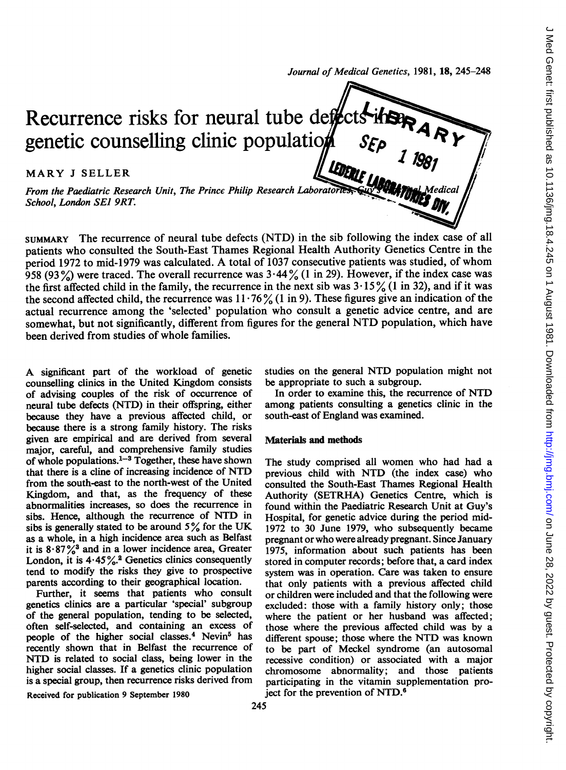Journal of Medical Genetics, 1981, 18, 245-248

Recurrence risks for neural tube defect genetic counselling clinic population  $S_{E\rho}$ <br>MARY J SELLER<br>From the Paediatric Research Unit, The Prince Philip Research Laboratories and **Line Medical** From the Paediatric Research Unit, The Prince Philip Research Laboratories School, London SEJ 9RT.

SUMMARY The recurrence of neural tube defects (NTD) in the sib following the index case of all patients who consulted the South-East Thames Regional Health Authority Genetics Centre in the period <sup>1972</sup> to mid-1979 was calculated. A total of <sup>1037</sup> consecutive patients was studied, of whom 958 (93%) were traced. The overall recurrence was  $3.44\%$  (1 in 29). However, if the index case was the first affected child in the family, the recurrence in the next sib was  $3 \cdot 15\frac{6}{1}$  (1 in 32), and if it was the second affected child, the recurrence was  $11 \cdot 76\frac{9}{10}$  (1 in 9). These figures give an indication of the actual recurrence among the 'selected' population who consult a genetic advice centre, and are somewhat, but not significantly, different from figures for the general NTD population, which have been derived from studies of whole families.

A significant part of the workload of genetic counselling clinics in the United Kingdom consists of advising couples of the risk of occurrence of neural tube defects (NTD) in their offspring, either because they have a previous affected child, or because there is a strong family history. The risks given are empirical and are derived from several major, careful, and comprehensive family studies of whole populations. $1-3$  Together, these have shown that there is a cline of increasing incidence of NTID from the south-east to the north-west of the United Kingdom, and that, as the frequency of these abnormalities increases, so does the recurrence in sibs. Hence, although the recurrence of NTD in sibs is generally stated to be around  $5\%$  for the UK as a whole, in a high incidence area such as Belfast it is  $8.87\frac{\sqrt{3}}{6}$  and in a lower incidence area, Greater London, it is  $4.45\%$ .<sup>2</sup> Genetics clinics consequently tend to modify the risks they give to prospective parents according to their geographical location.

Further, it seems that patients who consult genetics clinics are a particular 'special' subgroup of the general population, tending to be selected, often self-selected, and containing an excess of people of the higher social classes.<sup>4</sup> Nevin<sup>5</sup> has recently shown that in Belfast the recurrence of NTD is related to social class, being lower in the higher social classes. If a genetics clinic population is a special group, then recurrence risks derived from studies on the general NTD population might not be appropriate to such a subgroup.

In order to examine this, the recurrence of NTD among patients consulting a genetics clinic in the south-east of England was examined.

## Materials and methods

The study comprised all women who had had a previous child with NTD (the index case) who consulted the South-East Thames Regional Health Authority (SETRHA) Genetics Centre, which is found within the Paediatric Research Unit at Guy's Hospital, for genetic advice during the period mid-1972 to 30 June 1979, who subsequently became pregnant or who were already pregnant. Since January 1975, information about such patients has been stored in computer records; before that, a card index system was in operation. Care was taken to ensure that only patients with a previous affected child or children were included and that the following were excluded: those with a family history only; those where the patient or her husband was affected; those where the previous affected child was by a different spouse; those where the NTD was known to be part of Meckel syndrome (an autosomal recessive condition) or associated with a major chromosome abnormality; and those patients participating in the vitamin supplementation project for the prevention of NTD.<sup>6</sup>

Received for publication 9 September 1980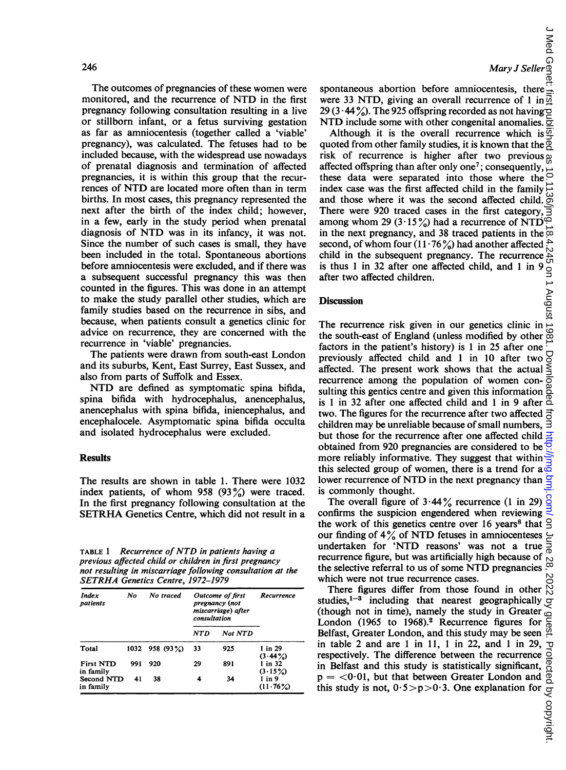The outcomes of pregnancies of these women were monitored, and the recurrence of NTD in the first pregnancy following consultation resulting in a live or stillborn infant, or a fetus surviving gestation as far as amniocentesis (together called a 'viable' pregnancy), was calculated. The fetuses had to be included because, with the widespread use nowadays of prenatal diagnosis and termination of affected pregnancies, it is within this group that the recurrences of NTD are located more often than in term births. In most cases, this pregnancy represented the next after the birth of the index child; however, in a few, early in the study period when prenatal diagnosis of NTD was in its infancy, it was not. Since the number of such cases is small, they have been included in the total. Spontaneous abortions before amniocentesis were excluded, and if there was a subsequent successful pregnancy this was then counted in the figures. This was done in an attempt to make the study parallel other studies, which are family studies based on the recurrence in sibs, and because, when patients consult a genetics clinic for advice on recurrence, they are concerned with the recurrence in 'viable' pregnancies.

The patients were drawn from south-east London and its suburbs, Kent, East Surrey, East Sussex, and also from parts of Suffolk and Essex.

NTD are defined as symptomatic spina bifida, spina bifida with hydrocephalus, anencephalus, anencephalus with spina bifida, iniencephalus, and encephalocele. Asymptomatic spina bifida occulta and isolated hydrocephalus were excluded.

## **Results**

The results are shown in table 1. There were 1032 index patients, of whom 958 (93%) were traced. In the first pregnancy following consultation at the SETRHA Genetics Centre, which did not result in <sup>a</sup>

TABLE <sup>1</sup> Recurrence of NTD in patients having <sup>a</sup> previous affected child or children in first pregnancy not resulting in miscarriage following consultation at the SETRHA Genetics Centre, 1972-1979

| <b>Index</b><br>patients      | No  | No traced        | <b>Outcome of first</b><br>pregnancy (not<br>miscarriage) after<br>consultation |                | Recurrence                |
|-------------------------------|-----|------------------|---------------------------------------------------------------------------------|----------------|---------------------------|
|                               |     |                  | NTD                                                                             | <b>Not NTD</b> |                           |
| Total                         |     | $1032$ 958 (93%) | 33                                                                              | 925            | 1 in 29<br>$(3.44\%)$     |
| <b>First NTD</b><br>in family | 991 | 920              | 29                                                                              | 891            | $1$ in $32$<br>$(3.15\%)$ |
| Second NTD<br>in family       | 41  | 38               | 4                                                                               | 34             | $1$ in $9$<br>$(11.76\%)$ |

spontaneous abortion before amniocentesis, there were 33 NTD, giving an overall recurrence of 1 in  $\vec{\omega}$ 29 (3 $\cdot$ 44%). The 925 offspring recorded as not having  $\overline{2}$ NTD include some with other congenital anomalies.  $\overline{5}$ 

Although it is the overall recurrence which is  $\overline{\mathfrak{S}}$ quoted from other family studies, it is known that the  $\overline{R}$ risk of recurrence is higher after two previous  $\overline{\omega}$ affected offspring than after only one<sup>7</sup>; consequently, these data were separated into those where the index case was the first affected child in the family and those where it was the second affected child.  $\stackrel{\leftrightarrow}{\circ}$ There were 920 traced cases in the first category, among whom 29 (3 $\cdot$ 15%) had a recurrence of NTD<sup>6</sup> in the next pregnancy, and 38 traced patients in the  $\overline{\infty}$ second, of whom four  $(11.76\%)$  had another affected child in the subsequent pregnancy. The recurrence is thus 1 in 32 after one affected child, and 1 in 9  $\degree$ <br>after two affected children.<br>Discussion<br>The recurrence risk given in our genetics clinic in  $\degree$ <br>the south-east of England (unless modified by other  $\degree$ after two affected children.

## **Discussion**

The recurrence risk given in our genetics clinic in the south-east of England (unless modified by other factors in the patient's history) is 1 in 25 after one  $\overline{C}$ <br>previously affected child and 1 in 10 after two  $\overline{O}$ <br>affected. The present work shows that the actual  $\leq$ previously affected child and <sup>1</sup> in 10 after two affected. The present work shows that the actual  $\leq$  recurrence among the population of women conrecurrence among the population of women con-<br>sulting this gentics centre and given this information sulting this gentics centre and given this information is <sup>1</sup> in 32 after one affected child and <sup>1</sup> in 9 after two. The figures for the recurrence after two affected  $\vec{\Xi}$ children may be unreliable because of small numbers,  $\overline{\exists}$ but those for the recurrence after one affected child  $\frac{1}{2}$ obtained from 920 pregnancies are considered to be  $\frac{1}{2}$ more reliably informative. They suggest that within this selected group of women, there is a trend for  $a\overline{\omega}$ lower recurrence of NTD in the next pregnancy than is commonly thought. J Med Genet: first published as 10.1136/jmg.18.4.245 on 1 August 1981. Downloaded from <http://jmg.bmj.com/> on June 28, 2022 by guest. Protected by copyright.

The overall figure of 3.44% recurrence (1 in 29)  $\frac{8}{5}$ <br>onfirms the suspicion engendered when reviewing confirms the suspicion engendered when reviewing the work of this genetics centre over  $16$  years<sup>8</sup> that our finding of  $4\%$  of NTD fetuses in amniocenteses June undertaken for 'NTD reasons' was not a true recurrence figure, but was artificially high because of the selective referral to us of some NTD pregnancies  $\frac{\infty}{\infty}$ <br>which were not true recurrence cases.<br>There figures differ from those found in other  $\frac{N}{N}$ which were not true recurrence cases.

There figures differ from those found in other studies, $1-3$  including that nearest geographically ğ (though not in time), namely the study in Greater  $\circ$ London (1965 to 1968).<sup>2</sup> Recurrence figures for Belfast, Greater London, and this study may be seen  $\frac{32}{1}$  in table 2 and are 1 in 11, 1 in 22, and 1 in 29,  $\frac{1}{2}$  respectively. The difference between the recurrence in Belfast and this study is statistically sig in table 2 and are <sup>1</sup> in 11, <sup>1</sup> in 22, and <sup>1</sup> in 29, respectively. The difference between the recurrence in Belfast and this study is statistically significant,  $p = <0.01$ , but that between Greater London and this study is not,  $0.5 > p > 0.3$ . One explanation for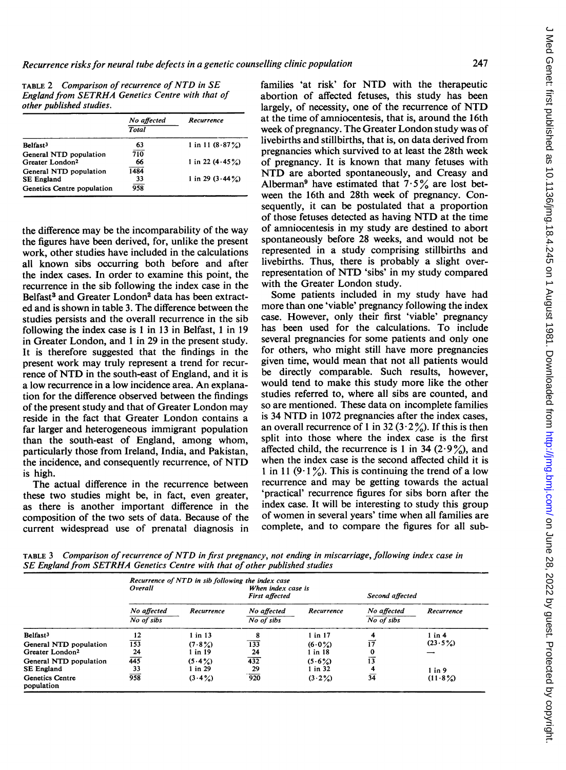TABLE <sup>2</sup> Comparison of recurrence of NTD in SE England from SETRHA Genetics Centre with that of other published studies.

|                             | No affected<br>Total | Recurrence         |  |
|-----------------------------|----------------------|--------------------|--|
| Belfast <sup>3</sup>        | 63                   | 1 in 11 $(8.87%)$  |  |
| General NTD population      | 710                  |                    |  |
| Greater London <sup>2</sup> | 66                   | 1 in 22 $(4.45\%)$ |  |
| General NTD population      | 1484                 |                    |  |
| <b>SE England</b>           | 33                   | 1 in 29 $(3.44\%)$ |  |
| Genetics Centre population  | 958                  |                    |  |

the difference may be the incomparability of the way the figures have been derived, for, unlike the present work, other studies have included in the calculations all known sibs occurring both before and after the index cases. In order to examine this point, the recurrence in the sib following the index case in the Belfast<sup>3</sup> and Greater London<sup>2</sup> data has been extracted and is shown in table 3. The difference between the studies persists and the overall recurrence in the sib following the index case is <sup>1</sup> in 13 in Belfast, <sup>1</sup> in 19 in Greater London, and <sup>1</sup> in 29 in the present study. It is therefore suggested that the findings in the present work may truly represent a trend for recurrence of NTD in the south-east of England, and it is a low recurrence in a low incidence area. An explanation for the difference observed between the findings of the present study and that of Greater London may reside in the fact that Greater London contains a far larger and heterogeneous immigrant population than the south-east of England, among whom, particularly those from Ireland, India, and Pakistan, the incidence, and consequently recurrence, of NTD is high.

The actual difference in the recurrence between these two studies might be, in fact, even greater, as there is another important difference in the composition of the two sets of data. Because of the current widespread use of prenatal diagnosis in families 'at risk' for NTD with the therapeutic abortion of affected fetuses, this study has been largely, of necessity, one of the recurrence of NTD at the time of amniocentesis, that is, around the 16th week of pregnancy. The Greater London study was of livebirths and stillbirths, that is, on data derived from pregnancies which survived to at least the 28th week of pregnancy. It is known that many fetuses with NTD are aborted spontaneously, and Creasy and Alberman<sup>9</sup> have estimated that  $7.5\%$  are lost between the 16th and 28th week of pregnancy. Consequently, it can be postulated that a proportion of those fetuses detected as having NTD at the time of amniocentesis in my study are destined to abort spontaneously before 28 weeks, and would not be represented in a study comprising stillbirths and livebirths. Thus, there is probably a slight overrepresentation of NTD 'sibs' in my study compared with the Greater London study.

Some patients included in my study have had more than one 'viable' pregnancy following the index case. However, only their first 'viable' pregnancy has been used for the calculations. To include several pregnancies for some patients and only one for others, who might still have more pregnancies given time, would mean that not all patients would be directly comparable. Such results, however, would tend to make this study more like the other studies referred to, where all sibs are counted, and so are mentioned. These data on incomplete families is <sup>34</sup> NTD in <sup>1072</sup> pregnancies after the index cases, an overall recurrence of 1 in 32 (3 $\cdot$  2 $\frac{9}{2}$ ). If this is then split into those where the index case is the first affected child, the recurrence is 1 in 34 (2 $.9\%$ ), and when the index case is the second affected child it is 1 in 11 (9.1%). This is continuing the trend of a low recurrence and may be getting towards the actual 'practical' recurrence figures for sibs born after the index case. It will be interesting to study this group of women in several years' time when all families are complete, and to compare the figures for all sub-

TABLE <sup>3</sup> Comparison of recurrence of NTD in first pregnancy, not ending in miscarriage, following index case in SE England from SETRHA Genetics Centre with that of other published studies

|                                      | Recurrence of NTD in sib following the index case<br>Overall<br>When index case is |             |                                     |             |                                              |            |
|--------------------------------------|------------------------------------------------------------------------------------|-------------|-------------------------------------|-------------|----------------------------------------------|------------|
|                                      | No affected<br>Recurrence                                                          |             | <b>First affected</b><br>Recurrence |             | Second affected<br>No affected<br>Recurrence |            |
|                                      | No of sibs                                                                         |             | No affected<br>No of sibs           |             | No of sibs                                   |            |
| Belfast <sup>3</sup>                 | 12                                                                                 | $1$ in $13$ | 8                                   | $1$ in $17$ |                                              | $1$ in $4$ |
| General NTD population               | 153                                                                                | $(7.8\%)$   | 133                                 | $(6.0\%)$   | $\overline{17}$                              | (23.5%)    |
| Greater London <sup>2</sup>          | 24                                                                                 | 1 in 19     | 24                                  | l in 18     | $\Omega$                                     |            |
| General NTD population               | 445                                                                                | $(5.4\%)$   | 432                                 | (5.6%)      | 13                                           |            |
| <b>SE England</b>                    | 33                                                                                 | l in 29     | 29                                  | 1 in 32     | 4                                            | $1$ in 9   |
| <b>Genetics Centre</b><br>population | 958                                                                                | $(3.4\%)$   | 920                                 | (3.2%)      | 34                                           | $(11.8\%)$ |